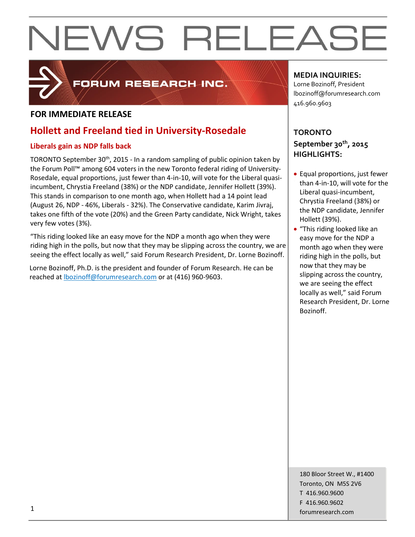

# FORUM RESEARCH INC.

## **FOR IMMEDIATE RELEASE**

## **Hollett and Freeland tied in University-Rosedale**

### **Liberals gain as NDP falls back**

TORONTO September 30<sup>th</sup>, 2015 - In a random sampling of public opinion taken by the Forum Poll™ among 604 voters in the new Toronto federal riding of University-Rosedale, equal proportions, just fewer than 4-in-10, will vote for the Liberal quasiincumbent, Chrystia Freeland (38%) or the NDP candidate, Jennifer Hollett (39%). This stands in comparison to one month ago, when Hollett had a 14 point lead (August 26, NDP - 46%, Liberals - 32%). The Conservative candidate, Karim Jivraj, takes one fifth of the vote (20%) and the Green Party candidate, Nick Wright, takes very few votes (3%).

"This riding looked like an easy move for the NDP a month ago when they were riding high in the polls, but now that they may be slipping across the country, we are seeing the effect locally as well," said Forum Research President, Dr. Lorne Bozinoff.

Lorne Bozinoff, Ph.D. is the president and founder of Forum Research. He can be reached at [lbozinoff@forumresearch.com](mailto:lbozinoff@forumresearch.com) or at (416) 960-9603.

### **MEDIA INQUIRIES:**

Lorne Bozinoff, President lbozinoff@forumresearch.com 416.960.9603

## **TORONTO September 30th, 2015 HIGHLIGHTS:**

- Equal proportions, just fewer than 4-in-10, will vote for the Liberal quasi-incumbent, Chrystia Freeland (38%) or the NDP candidate, Jennifer Hollett (39%).
- "This riding looked like an easy move for the NDP a month ago when they were riding high in the polls, but now that they may be slipping across the country, we are seeing the effect locally as well," said Forum Research President, Dr. Lorne Bozinoff.

180 Bloor Street W., #1400 Toronto, ON M5S 2V6 T 416.960.9600 F 416.960.9602 forumresearch.com 1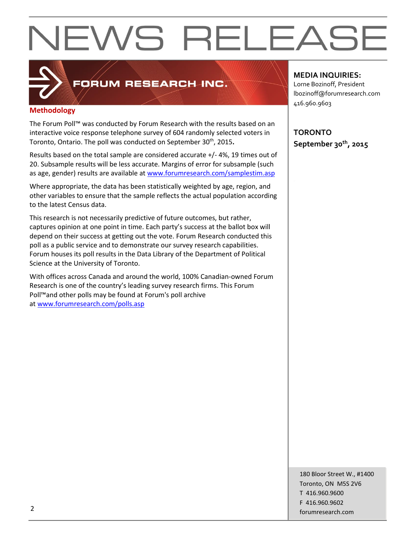

# FORUM RESEARCH INC.

#### **Methodology**

The Forum Poll™ was conducted by Forum Research with the results based on an interactive voice response telephone survey of 604 randomly selected voters in Toronto, Ontario. The poll was conducted on September 30<sup>th</sup>, 2015**.** 

Results based on the total sample are considered accurate +/- 4%, 19 times out of 20. Subsample results will be less accurate. Margins of error for subsample (such as age, gender) results are available at [www.forumresearch.com/samplestim.asp](http://www.forumresearch.com/samplestim.asp)

Where appropriate, the data has been statistically weighted by age, region, and other variables to ensure that the sample reflects the actual population according to the latest Census data.

This research is not necessarily predictive of future outcomes, but rather, captures opinion at one point in time. Each party's success at the ballot box will depend on their success at getting out the vote. Forum Research conducted this poll as a public service and to demonstrate our survey research capabilities. Forum houses its poll results in the Data Library of the Department of Political Science at the University of Toronto.

With offices across Canada and around the world, 100% Canadian-owned Forum Research is one of the country's leading survey research firms. This Forum Poll™and other polls may be found at Forum's poll archive at [www.forumresearch.com/polls.asp](http://www.forumresearch.com/polls.asp)

**MEDIA INQUIRIES:**

Lorne Bozinoff, President lbozinoff@forumresearch.com 416.960.9603

**TORONTO September 30th, 2015**

180 Bloor Street W., #1400 Toronto, ON M5S 2V6 T 416.960.9600 F 416.960.9602 example to the contract of the contract of the contract of the contract of the contract of the contract of the contract of the contract of the contract of the contract of the contract of the contract of the contract of the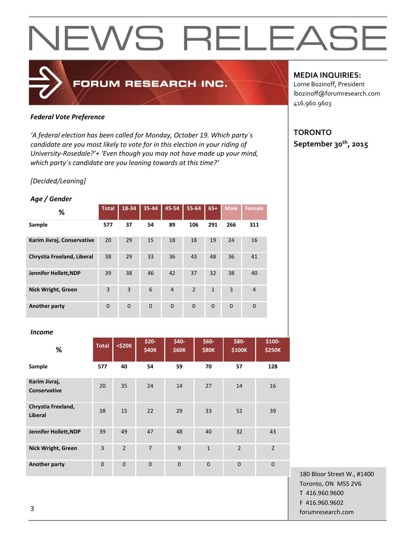### *Federal Vote Preference*

*'A federal election has been called for Monday, October 19. Which party´s candidate are you most likely to vote for in this election in your riding of University-Rosedale?'+ 'Even though you may not have made up your mind, which party´s candidate are you leaning towards at this time?'*

FORUM RESEARCH INC.

#### *[Decided/Leaning]*

#### *Age / Gender*

| %                          | <b>Total</b> | $18 - 34$ | 35-44          | 45-54       | 55-64          | $65+$          | <b>Male</b> | <b>Female</b>  |
|----------------------------|--------------|-----------|----------------|-------------|----------------|----------------|-------------|----------------|
| Sample                     | 577          | 37        | 54             | 89          | 106            | 291            | 266         | 311            |
| Karim Jivraj, Conservative | 20           | 29        | 15             | 18          | 18             | 19             | 24          | 16             |
| Chrystia Freeland, Liberal | 38           | 29        | 33             | 36          | 43             | 48             | 36          | 41             |
| Jennifer Hollett, NDP      | 39           | 38        | 46             | 42          | 37             | 32             | 38          | 40             |
| <b>Nick Wright, Green</b>  | 3            | 3         | 6              | 4           | $\overline{2}$ | $\mathbf{1}$   | 3           | $\overline{4}$ |
| <b>Another party</b>       | $\Omega$     | $\Omega$  | $\overline{0}$ | $\mathbf 0$ | $\mathbf 0$    | $\overline{0}$ | $\Omega$    | $\overline{0}$ |

#### *Income*

| %                                    | <b>Total</b>   | $<$ \$20 $K$   | $$20-$<br><b>\$40K</b> | $$40-$<br><b>\$60K</b> | $$60-$<br><b>\$80K</b> | \$80-<br>\$100K | \$100-<br><b>\$250K</b> |
|--------------------------------------|----------------|----------------|------------------------|------------------------|------------------------|-----------------|-------------------------|
| Sample                               | 577            | 40             | 54                     | 59                     | 70                     | 57              | 128                     |
| Karim Jivraj,<br><b>Conservative</b> | 20             | 35             | 24                     | 14                     | 27                     | 14              | 16                      |
| Chrystia Freeland,<br><b>Liberal</b> | 38             | 15             | 22                     | 29                     | 33                     | 52              | 39                      |
| Jennifer Hollett, NDP                | 39             | 49             | 47                     | 48                     | 40                     | 32              | 43                      |
| <b>Nick Wright, Green</b>            | $\overline{3}$ | $\overline{2}$ | $\overline{7}$         | 9                      | $\mathbf{1}$           | $\overline{2}$  | $\overline{2}$          |
| Another party                        | $\overline{0}$ | $\overline{0}$ | $\Omega$               | $\mathbf{0}$           | $\mathbf{0}$           | $\mathbf{0}$    | $\mathbf{0}$            |

#### 180 Bloor Street W., #1400 Toronto, ON M5S 2V6 T 416.960.9600 F 416.960.9602 forumresearch.com and the set of the set of the set of the set of the set of the set of the set of the set of the set of the set of the set of the set of the set of the set of the set of the set of the set of the set of th

#### **MEDIA INQUIRIES:**

Lorne Bozinoff, President lbozinoff@forumresearch.com 416.960.9603

### **TORONTO September 30th, 2015**